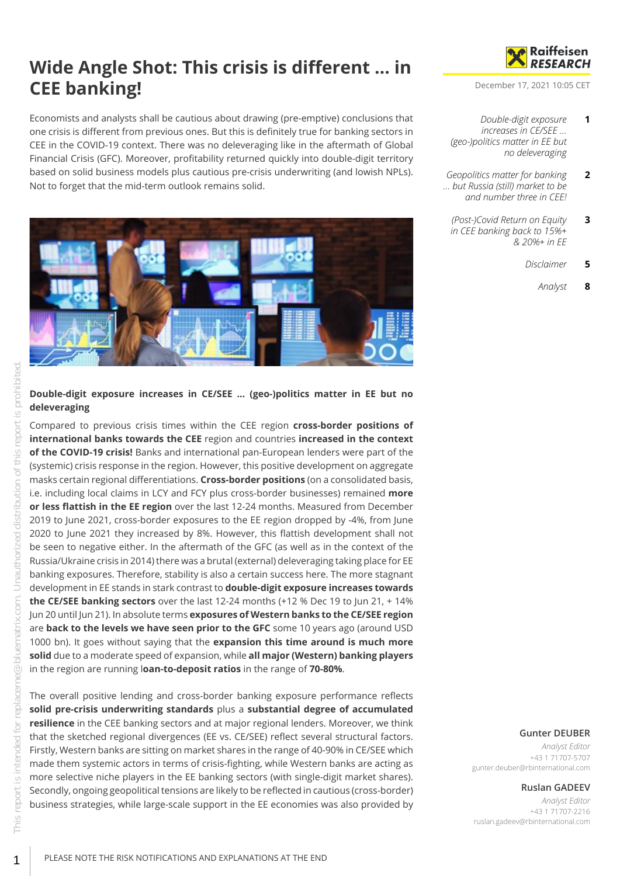# **Wide Angle Shot: This crisis is different … in CEE banking!**

Economists and analysts shall be cautious about drawing (pre-emptive) conclusions that one crisis is different from previous ones. But this is definitely true for banking sectors in CEE in the COVID-19 context. There was no deleveraging like in the aftermath of Global Financial Crisis (GFC). Moreover, profitability returned quickly into double-digit territory based on solid business models plus cautious pre-crisis underwriting (and lowish NPLs). Not to forget that the mid-term outlook remains solid.



<span id="page-0-0"></span>**Double-digit exposure increases in CE/SEE … (geo-)politics matter in EE but no deleveraging**

Compared to previous crisis times within the CEE region **cross-border positions of international banks towards the CEE** region and countries **increased in the context of the COVID-19 crisis!** Banks and international pan-European lenders were part of the (systemic) crisis response in the region. However, this positive development on aggregate masks certain regional differentiations. **Cross-border positions** (on a consolidated basis, i.e. including local claims in LCY and FCY plus cross-border businesses) remained **more or less flattish in the EE region** over the last 12-24 months. Measured from December 2019 to June 2021, cross-border exposures to the EE region dropped by -4%, from June 2020 to June 2021 they increased by 8%. However, this flattish development shall not be seen to negative either. In the aftermath of the GFC (as well as in the context of the Russia/Ukraine crisis in 2014) there was a brutal (external) deleveraging taking place for EE banking exposures. Therefore, stability is also a certain success here. The more stagnant development in EE stands in stark contrast to **double-digit exposure increases towards the CE/SEE banking sectors** over the last 12-24 months (+12 % Dec 19 to Jun 21, + 14% Jun 20 until Jun 21). In absolute terms **exposures of Western banks to the CE/SEE region** are **back to the levels we have seen prior to the GFC** some 10 years ago (around USD 1000 bn). It goes without saying that the **expansion this time around is much more solid** due to a moderate speed of expansion, while **all major (Western) banking players** in the region are running l**oan-to-deposit ratios** in the range of **70-80%**.

The overall positive lending and cross-border banking exposure performance reflects **solid pre-crisis underwriting standards** plus a **substantial degree of accumulated resilience** in the CEE banking sectors and at major regional lenders. Moreover, we think that the sketched regional divergences (EE vs. CE/SEE) reflect several structural factors. Firstly, Western banks are sitting on market shares in the range of 40-90% in CE/SEE which made them systemic actors in terms of crisis-fighting, while Western banks are acting as more selective niche players in the EE banking sectors (with single-digit market shares). Secondly, ongoing geopolitical tensions are likely to be reflected in cautious (cross-border) business strategies, while large-scale support in the EE economies was also provided by



December 17, 2021 10:05 CET

- *[Double-digit exposure](#page-0-0) [increases in CE/SEE …](#page-0-0) [\(geo-\)politics matter in EE but](#page-0-0) [no deleveraging](#page-0-0)* **1**
- *[Geopolitics matter for banking](#page-1-0) [… but Russia \(still\) market to be](#page-1-0) [and number three in CEE!](#page-1-0)* **2**
	- *[\(Post-\)Covid Return on Equity](#page-2-0) [in CEE banking back to 15%+](#page-2-0) [& 20%+ in EE](#page-2-0)* **3**
		- *[Disclaimer](#page-4-0)* **5**
			- *[Analyst](#page-7-0)* **8**

### **Gunter DEUBER**

*Analyst Editor* +43 1 71707-5707 gunter.deuber@rbinternational.com

## **Ruslan GADEEV**

*Analyst Editor* +43 1 71707-2216 ruslan.gadeev@rbinternational.com

1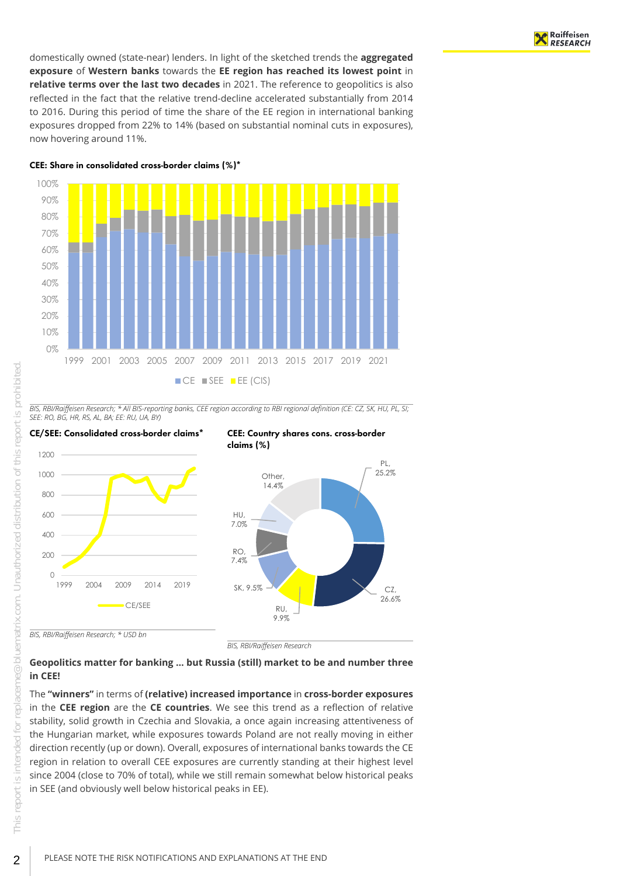domestically owned (state-near) lenders. In light of the sketched trends the **aggregated exposure** of **Western banks** towards the **EE region has reached its lowest point** in **relative terms over the last two decades** in 2021. The reference to geopolitics is also reflected in the fact that the relative trend-decline accelerated substantially from 2014 to 2016. During this period of time the share of the EE region in international banking exposures dropped from 22% to 14% (based on substantial nominal cuts in exposures), now hovering around 11%.

CEE: Share in consolidated cross-border claims (%)\*



*BIS, RBI/Raiffeisen Research; \* All BIS-reporting banks, CEE region according to RBI regional definition (CE: CZ, SK, HU, PL, SI; SEE: RO, BG, HR, RS, AL, BA; EE: RU, UA, BY)*



## <span id="page-1-0"></span>**Geopolitics matter for banking … but Russia (still) market to be and number three in CEE!**

The **"winners"** in terms of **(relative) increased importance** in **cross-border exposures** in the **CEE region** are the **CE countries**. We see this trend as a reflection of relative stability, solid growth in Czechia and Slovakia, a once again increasing attentiveness of the Hungarian market, while exposures towards Poland are not really moving in either direction recently (up or down). Overall, exposures of international banks towards the CE region in relation to overall CEE exposures are currently standing at their highest level since 2004 (close to 70% of total), while we still remain somewhat below historical peaks in SEE (and obviously well below historical peaks in EE).

2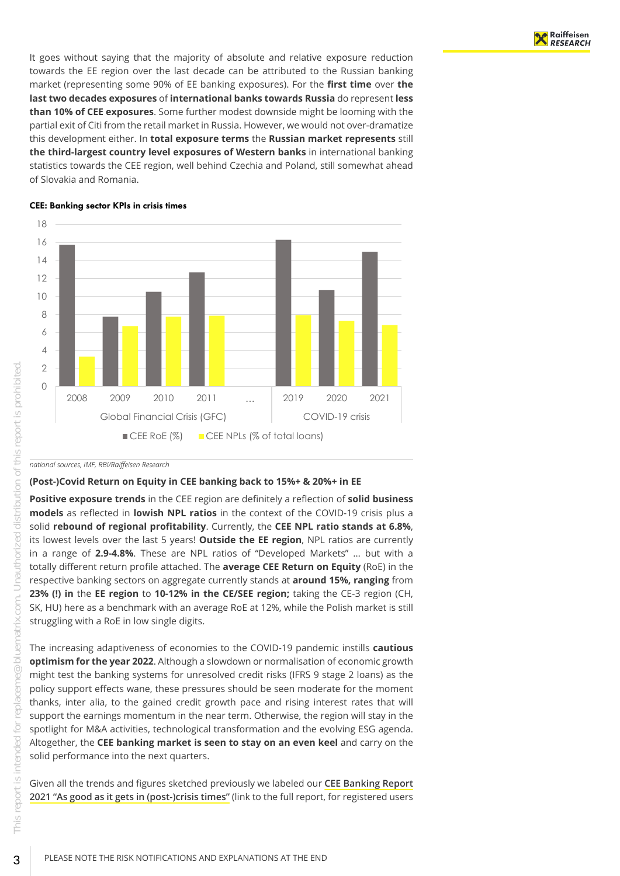It goes without saying that the majority of absolute and relative exposure reduction towards the EE region over the last decade can be attributed to the Russian banking market (representing some 90% of EE banking exposures). For the **first time** over **the last two decades exposures** of **international banks towards Russia** do represent **less than 10% of CEE exposures**. Some further modest downside might be looming with the partial exit of Citi from the retail market in Russia. However, we would not over-dramatize this development either. In **total exposure terms** the **Russian market represents** still **the third-largest country level exposures of Western banks** in international banking statistics towards the CEE region, well behind Czechia and Poland, still somewhat ahead of Slovakia and Romania.



#### CEE: Banking sector KPIs in crisis times

*national sources, IMF, RBI/Raiffeisen Research*

### <span id="page-2-0"></span>**(Post-)Covid Return on Equity in CEE banking back to 15%+ & 20%+ in EE**

**Positive exposure trends** in the CEE region are definitely a reflection of **solid business models** as reflected in **lowish NPL ratios** in the context of the COVID-19 crisis plus a solid **rebound of regional profitability**. Currently, the **CEE NPL ratio stands at 6.8%**, its lowest levels over the last 5 years! **Outside the EE region**, NPL ratios are currently in a range of **2.9-4.8%**. These are NPL ratios of "Developed Markets" … but with a totally different return profile attached. The **average CEE Return on Equity** (RoE) in the respective banking sectors on aggregate currently stands at **around 15%, ranging** from **23% (!) in** the **EE region** to **10-12% in the CE/SEE region;** taking the CE-3 region (CH, SK, HU) here as a benchmark with an average RoE at 12%, while the Polish market is still struggling with a RoE in low single digits.

The increasing adaptiveness of economies to the COVID-19 pandemic instills **cautious optimism for the year 2022**. Although a slowdown or normalisation of economic growth might test the banking systems for unresolved credit risks (IFRS 9 stage 2 loans) as the policy support effects wane, these pressures should be seen moderate for the moment thanks, inter alia, to the gained credit growth pace and rising interest rates that will support the earnings momentum in the near term. Otherwise, the region will stay in the spotlight for M&A activities, technological transformation and the evolving ESG agenda. Altogether, the **CEE banking market is seen to stay on an even keel** and carry on the solid performance into the next quarters.

Given all the trends and figures sketched previously we labeled our **[CEE Banking Report](https://raiffeisenresearch.bluematrix.com/docs/html/c517654e-d6cd-4a76-8daa-53bb1c0e7d47.html) [2021 "As good as it gets in \(post-\)crisis times"](https://raiffeisenresearch.bluematrix.com/docs/html/c517654e-d6cd-4a76-8daa-53bb1c0e7d47.html)** (link to the full report, for registered users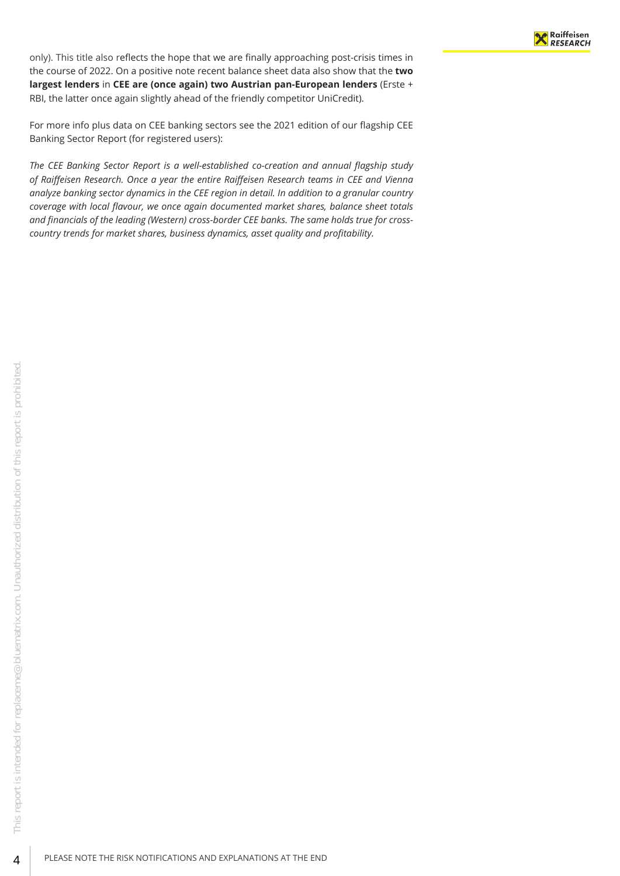only). This title also reflects the hope that we are finally approaching post-crisis times in the course of 2022. On a positive note recent balance sheet data also show that the **two largest lenders** in **CEE are (once again) two Austrian pan-European lenders** (Erste + RBI, the latter once again slightly ahead of the friendly competitor UniCredit).

For more info plus data on CEE banking sectors see the 2021 edition of our flagship CEE Banking Sector Report (for registered users):

*The CEE Banking Sector Report is a well-established co-creation and annual flagship study of Raiffeisen Research. Once a year the entire Raiffeisen Research teams in CEE and Vienna analyze banking sector dynamics in the CEE region in detail. In addition to a granular country coverage with local flavour, we once again documented market shares, balance sheet totals and financials of the leading (Western) cross-border CEE banks. The same holds true for crosscountry trends for market shares, business dynamics, asset quality and profitability.*

4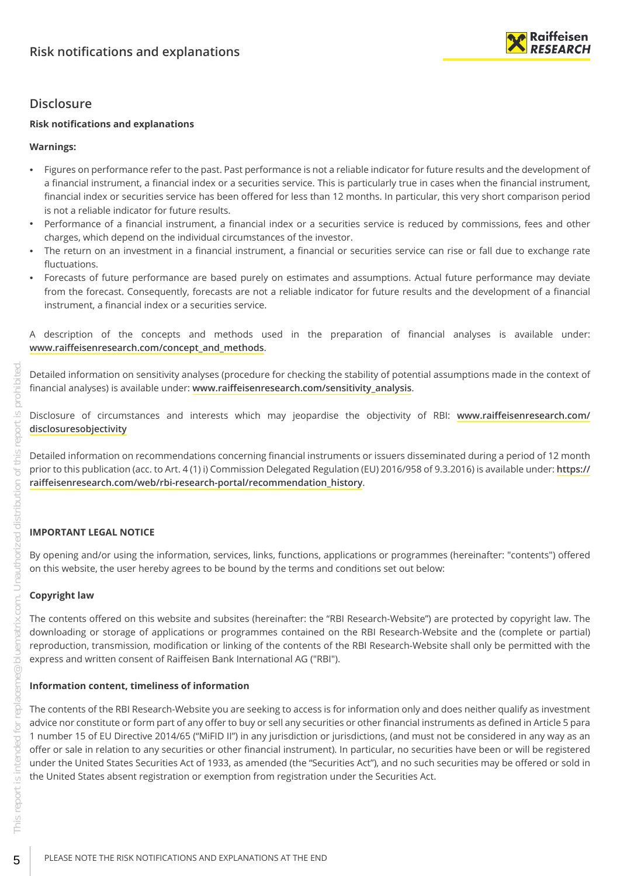

# <span id="page-4-0"></span>**Disclosure**

## **Risk notifications and explanations**

## **Warnings:**

- Figures on performance refer to the past. Past performance is not a reliable indicator for future results and the development of a financial instrument, a financial index or a securities service. This is particularly true in cases when the financial instrument, financial index or securities service has been offered for less than 12 months. In particular, this very short comparison period is not a reliable indicator for future results.
- Performance of a financial instrument, a financial index or a securities service is reduced by commissions, fees and other charges, which depend on the individual circumstances of the investor.
- The return on an investment in a financial instrument, a financial or securities service can rise or fall due to exchange rate fluctuations.
- Forecasts of future performance are based purely on estimates and assumptions. Actual future performance may deviate from the forecast. Consequently, forecasts are not a reliable indicator for future results and the development of a financial instrument, a financial index or a securities service.

A description of the concepts and methods used in the preparation of financial analyses is available under: **[www.raiffeisenresearch.com/concept\\_and\\_methods](https://www.raiffeisenresearch.com/concept_and_methods)**.

Detailed information on sensitivity analyses (procedure for checking the stability of potential assumptions made in the context of financial analyses) is available under: **[www.raiffeisenresearch.com/sensitivity\\_analysis](https://www.raiffeisenresearch.com/sensitivity_analysis)**.

Disclosure of circumstances and interests which may jeopardise the objectivity of RBI: **[www.raiffeisenresearch.com/](https://www.raiffeisenresearch.com/disclosuresobjectivity) [disclosuresobjectivity](https://www.raiffeisenresearch.com/disclosuresobjectivity)**

Detailed information on recommendations concerning financial instruments or issuers disseminated during a period of 12 month prior to this publication (acc. to Art. 4 (1) i) Commission Delegated Regulation (EU) 2016/958 of 9.3.2016) is available under: **[https://](https://raiffeisenresearch.com/web/rbi-research-portal/recommendation_history) [raiffeisenresearch.com/web/rbi-research-portal/recommendation\\_history](https://raiffeisenresearch.com/web/rbi-research-portal/recommendation_history)**.

## **IMPORTANT LEGAL NOTICE**

By opening and/or using the information, services, links, functions, applications or programmes (hereinafter: "contents") offered on this website, the user hereby agrees to be bound by the terms and conditions set out below:

## **Copyright law**

The contents offered on this website and subsites (hereinafter: the "RBI Research-Website") are protected by copyright law. The downloading or storage of applications or programmes contained on the RBI Research-Website and the (complete or partial) reproduction, transmission, modification or linking of the contents of the RBI Research-Website shall only be permitted with the express and written consent of Raiffeisen Bank International AG ("RBI").

## **Information content, timeliness of information**

The contents of the RBI Research-Website you are seeking to access is for information only and does neither qualify as investment advice nor constitute or form part of any offer to buy or sell any securities or other financial instruments as defined in Article 5 para 1 number 15 of EU Directive 2014/65 ("MiFID II") in any jurisdiction or jurisdictions, (and must not be considered in any way as an offer or sale in relation to any securities or other financial instrument). In particular, no securities have been or will be registered under the United States Securities Act of 1933, as amended (the "Securities Act"), and no such securities may be offered or sold in the United States absent registration or exemption from registration under the Securities Act.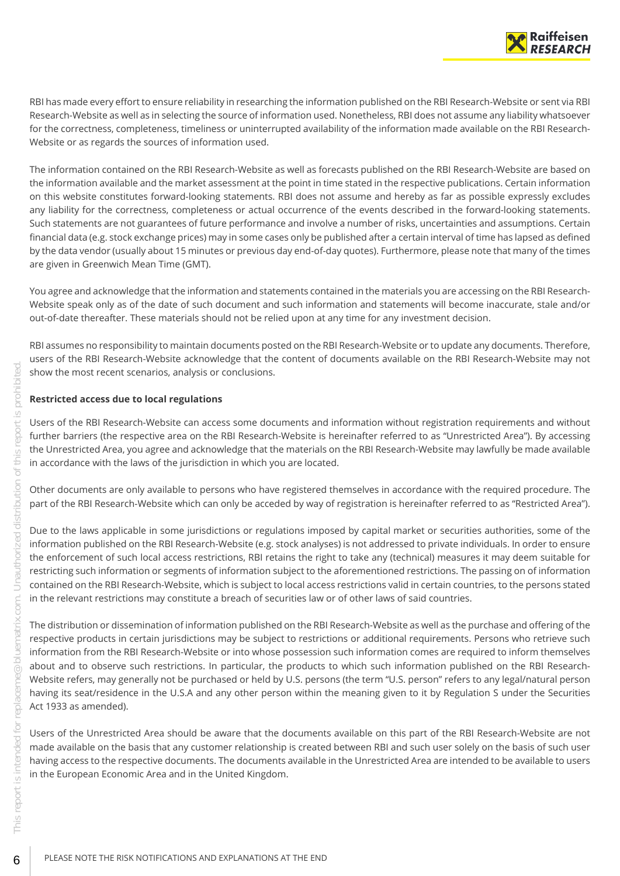

RBI has made every effort to ensure reliability in researching the information published on the RBI Research-Website or sent via RBI Research-Website as well as in selecting the source of information used. Nonetheless, RBI does not assume any liability whatsoever for the correctness, completeness, timeliness or uninterrupted availability of the information made available on the RBI Research-Website or as regards the sources of information used.

The information contained on the RBI Research-Website as well as forecasts published on the RBI Research-Website are based on the information available and the market assessment at the point in time stated in the respective publications. Certain information on this website constitutes forward-looking statements. RBI does not assume and hereby as far as possible expressly excludes any liability for the correctness, completeness or actual occurrence of the events described in the forward-looking statements. Such statements are not guarantees of future performance and involve a number of risks, uncertainties and assumptions. Certain financial data (e.g. stock exchange prices) may in some cases only be published after a certain interval of time has lapsed as defined by the data vendor (usually about 15 minutes or previous day end-of-day quotes). Furthermore, please note that many of the times are given in Greenwich Mean Time (GMT).

You agree and acknowledge that the information and statements contained in the materials you are accessing on the RBI Research-Website speak only as of the date of such document and such information and statements will become inaccurate, stale and/or out-of-date thereafter. These materials should not be relied upon at any time for any investment decision.

RBI assumes no responsibility to maintain documents posted on the RBI Research-Website or to update any documents. Therefore, users of the RBI Research-Website acknowledge that the content of documents available on the RBI Research-Website may not show the most recent scenarios, analysis or conclusions.

### **Restricted access due to local regulations**

Users of the RBI Research-Website can access some documents and information without registration requirements and without further barriers (the respective area on the RBI Research-Website is hereinafter referred to as "Unrestricted Area"). By accessing the Unrestricted Area, you agree and acknowledge that the materials on the RBI Research-Website may lawfully be made available in accordance with the laws of the jurisdiction in which you are located.

Other documents are only available to persons who have registered themselves in accordance with the required procedure. The part of the RBI Research-Website which can only be acceded by way of registration is hereinafter referred to as "Restricted Area").

Due to the laws applicable in some jurisdictions or regulations imposed by capital market or securities authorities, some of the information published on the RBI Research-Website (e.g. stock analyses) is not addressed to private individuals. In order to ensure the enforcement of such local access restrictions, RBI retains the right to take any (technical) measures it may deem suitable for restricting such information or segments of information subject to the aforementioned restrictions. The passing on of information contained on the RBI Research-Website, which is subject to local access restrictions valid in certain countries, to the persons stated in the relevant restrictions may constitute a breach of securities law or of other laws of said countries.

The distribution or dissemination of information published on the RBI Research-Website as well as the purchase and offering of the respective products in certain jurisdictions may be subject to restrictions or additional requirements. Persons who retrieve such information from the RBI Research-Website or into whose possession such information comes are required to inform themselves about and to observe such restrictions. In particular, the products to which such information published on the RBI Research-Website refers, may generally not be purchased or held by U.S. persons (the term "U.S. person" refers to any legal/natural person having its seat/residence in the U.S.A and any other person within the meaning given to it by Regulation S under the Securities Act 1933 as amended).

Users of the Unrestricted Area should be aware that the documents available on this part of the RBI Research-Website are not made available on the basis that any customer relationship is created between RBI and such user solely on the basis of such user having access to the respective documents. The documents available in the Unrestricted Area are intended to be available to users in the European Economic Area and in the United Kingdom.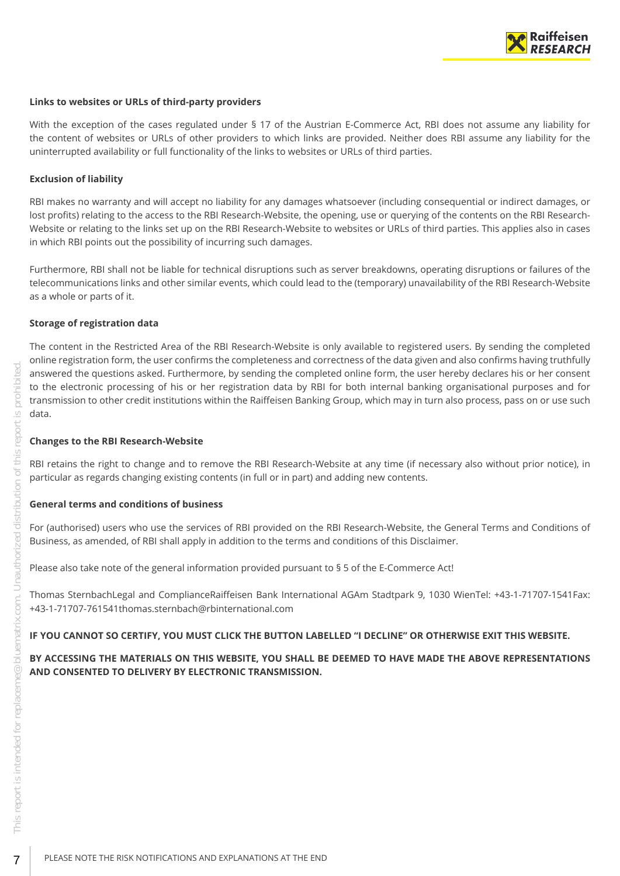

### **Links to websites or URLs of third-party providers**

With the exception of the cases regulated under § 17 of the Austrian E-Commerce Act, RBI does not assume any liability for the content of websites or URLs of other providers to which links are provided. Neither does RBI assume any liability for the uninterrupted availability or full functionality of the links to websites or URLs of third parties.

### **Exclusion of liability**

RBI makes no warranty and will accept no liability for any damages whatsoever (including consequential or indirect damages, or lost profits) relating to the access to the RBI Research-Website, the opening, use or querying of the contents on the RBI Research-Website or relating to the links set up on the RBI Research-Website to websites or URLs of third parties. This applies also in cases in which RBI points out the possibility of incurring such damages.

Furthermore, RBI shall not be liable for technical disruptions such as server breakdowns, operating disruptions or failures of the telecommunications links and other similar events, which could lead to the (temporary) unavailability of the RBI Research-Website as a whole or parts of it.

### **Storage of registration data**

The content in the Restricted Area of the RBI Research-Website is only available to registered users. By sending the completed online registration form, the user confirms the completeness and correctness of the data given and also confirms having truthfully answered the questions asked. Furthermore, by sending the completed online form, the user hereby declares his or her consent to the electronic processing of his or her registration data by RBI for both internal banking organisational purposes and for transmission to other credit institutions within the Raiffeisen Banking Group, which may in turn also process, pass on or use such data.

### **Changes to the RBI Research-Website**

RBI retains the right to change and to remove the RBI Research-Website at any time (if necessary also without prior notice), in particular as regards changing existing contents (in full or in part) and adding new contents.

### **General terms and conditions of business**

For (authorised) users who use the services of RBI provided on the RBI Research-Website, the General Terms and Conditions of Business, as amended, of RBI shall apply in addition to the terms and conditions of this Disclaimer.

Please also take note of the general information provided pursuant to § 5 of the E-Commerce Act!

Thomas SternbachLegal and ComplianceRaiffeisen Bank International AGAm Stadtpark 9, 1030 WienTel: +43-1-71707-1541Fax: +43-1-71707-761541thomas.sternbach@rbinternational.com

### **IF YOU CANNOT SO CERTIFY, YOU MUST CLICK THE BUTTON LABELLED "I DECLINE" OR OTHERWISE EXIT THIS WEBSITE.**

### **BY ACCESSING THE MATERIALS ON THIS WEBSITE, YOU SHALL BE DEEMED TO HAVE MADE THE ABOVE REPRESENTATIONS AND CONSENTED TO DELIVERY BY ELECTRONIC TRANSMISSION.**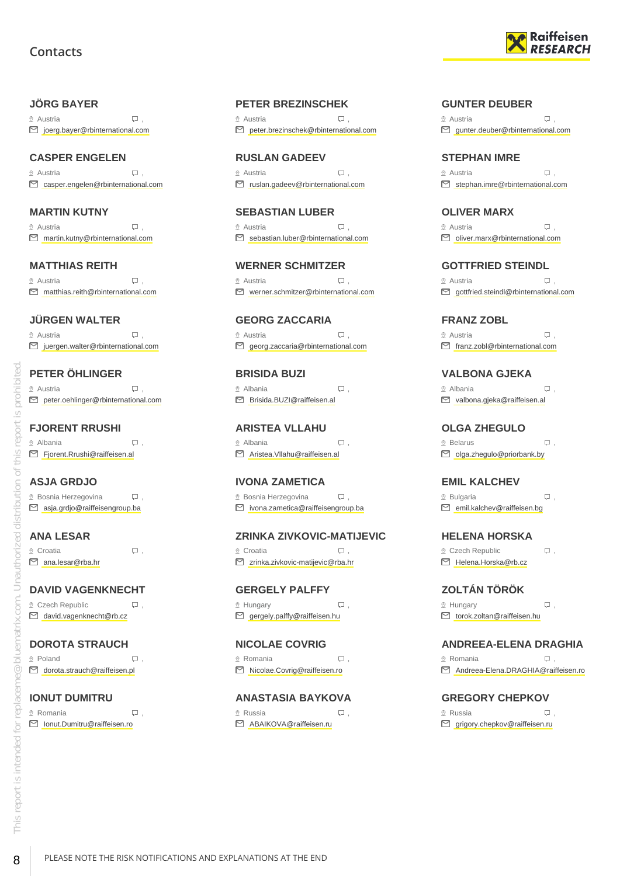# **Contacts**

## <span id="page-7-0"></span>**JÖRG BAYER**

 $\Omega$  Austria  $\Box$ joerg.bayer@rbinternational.com

## **CASPER ENGELEN**

 $\Omega$  Austria  $\Box$ casper.engelen@rbinternational.com

## **MARTIN KUTNY**

 $\circ$  Austria  $\Box$ martin.kutny@rbinternational.com

### **MATTHIAS REITH**

 Austria , matthias.reith@rbinternational.com

## **JÜRGEN WALTER**

 $\Omega$  Austria  $\Box$ □ juergen.walter@rbinternational.com

## **PETER ÖHLINGER**

 $\circ$  Austria  $\qquad \qquad \Box$ ■ peter.oehlinger@rbinternational.com

# **FJORENT RRUSHI**

 Albania , Fjorent.Rrushi@raiffeisen.al

## **ASJA GRDJO**

 $\Omega$  Bosnia Herzegovina  $\Box$ . asja.grdjo@raiffeisengroup.ba

## **ANA LESAR**

© Croatia , Q . ana.lesar@rba.hr

## **DAVID VAGENKNECHT**

 $Q$  Czech Republic  $Q$ , david.vagenknecht@rb.cz

## **DOROTA STRAUCH**

 Poland , dorota.strauch@raiffeisen.pl

### **IONUT DUMITRU**  $\Omega$  Romania  $\Box$

Ionut.Dumitru@raiffeisen.ro

## **PETER BREZINSCHEK**

 $\Omega$  Austria  $\Box$ peter.brezinschek@rbinternational.com

**RUSLAN GADEEV**  $\circ$  Austria  $\qquad \qquad \Box$ ruslan.gadeev@rbinternational.com

### **SEBASTIAN LUBER**  $\circ$  Austria  $\Box$ sebastian.luber@rbinternational.com

**WERNER SCHMITZER**  $\Omega$  Austria  $\Box$ werner.schmitzer@rbinternational.com

**GEORG ZACCARIA**  $\circ$  Austria  $\qquad \qquad \Box$ georg.zaccaria@rbinternational.com

**BRISIDA BUZI** Albania , Brisida.BUZI@raiffeisen.al

**ARISTEA VLLAHU** © Albania <del>D</del>, Aristea.Vllahu@raiffeisen.al

ivona.zametica@raiffeisengroup.ba

## **ZRINKA ZIVKOVIC-MATIJEVIC**

© Croatia , Q . zrinka.zivkovic-matijevic@rba.hr

### **GERGELY PALFFY**  $\mathcal{Q}$  Hungary  $\qquad \qquad \Box$  $\Box$  gergely.palffy@raiffeisen.hu

**NICOLAE COVRIG** Romania , Nicolae.Covrig@raiffeisen.ro

### **ANASTASIA BAYKOVA**  $\Omega$  Russia ,  $\Box$ ABAIKOVA@raiffeisen.ru



### **GUNTER DEUBER**

 $\Omega$  Austria  $\Box$ gunter.deuber@rbinternational.com

## **STEPHAN IMRE**

 $\Omega$  Austria  $\Box$  $\Box$  stephan.imre@rbinternational.com

# **OLIVER MARX**

 $\heartsuit$  Austria  $\heartsuit$ . oliver.marx@rbinternational.com

## **GOTTFRIED STEINDL**

© Austria , Q .  $\Box$  gottfried.steindl@rbinternational.com

**FRANZ ZOBL**  $\circ$  Austria  $\Box$  $\Box$  franz.zobl@rbinternational.com

**VALBONA GJEKA** Albania , valbona.gjeka@raiffeisen.al

**OLGA ZHEGULO** ® Belarus , Q .

olga.zhegulo@priorbank.by

**EMIL KALCHEV**  $\Omega$  Bulgaria ,  $\Box$ emil.kalchev@raiffeisen.bg

**HELENA HORSKA**  $Q$  Czech Republic  $Q$ , Helena.Horska@rb.cz

**ZOLTÁN TÖRÖK**  $\mathcal{Q}$  Hungary  $\qquad \qquad \Box$ ,  $\Box$  torok.zoltan@raiffeisen.hu

## **ANDREEA-ELENA DRAGHIA**

 Romania , Andreea-Elena.DRAGHIA@raiffeisen.ro

**GREGORY CHEPKOV**  $\Omega$  Russia ,  $\Box$  $\Box$  grigory.chepkov@raiffeisen.ru

**IVONA ZAMETICA**  $\Omega$  Bosnia Herzegovina  $\Box$ .